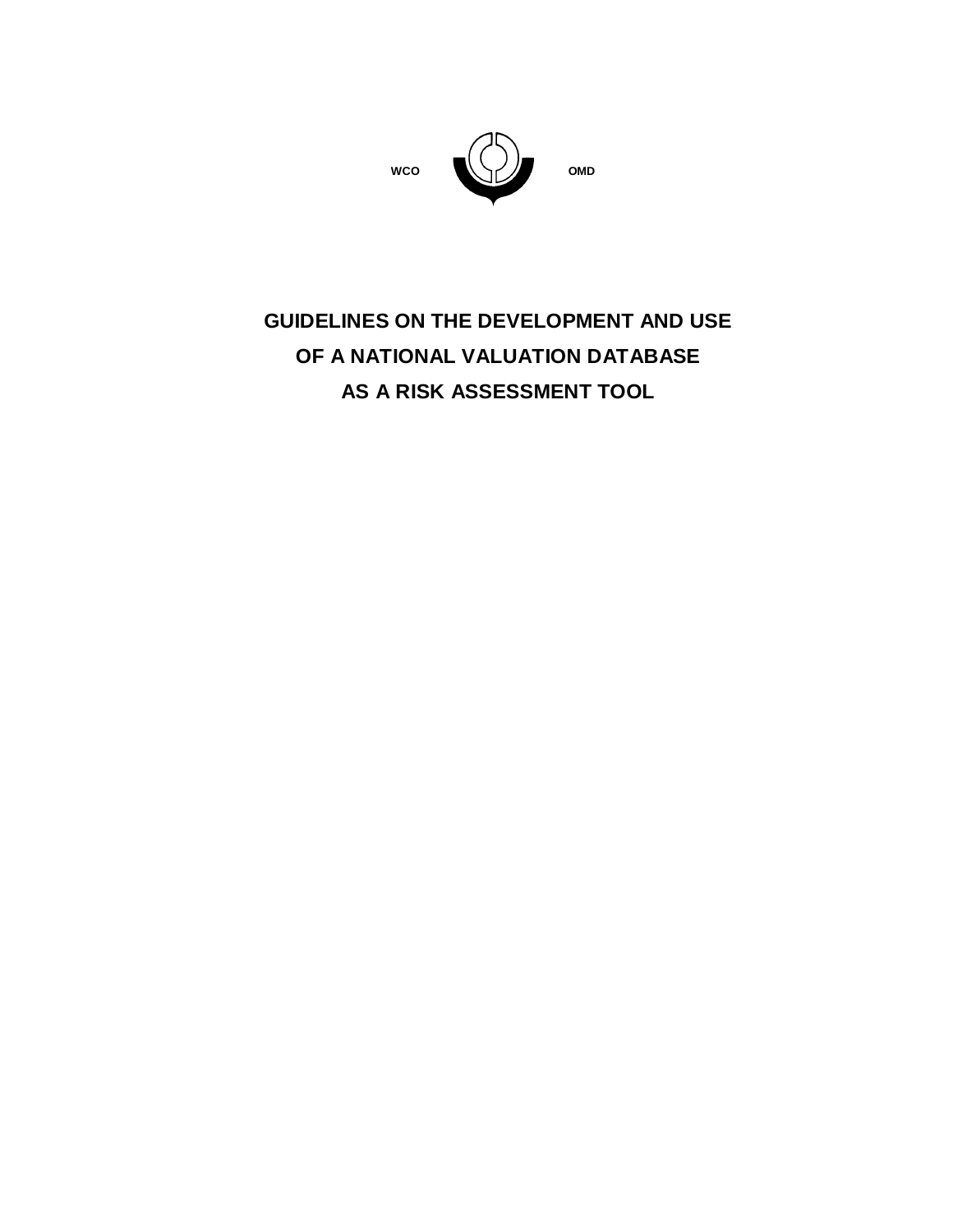

# **GUIDELINES ON THE DEVELOPMENT AND USE OF A NATIONAL VALUATION DATABASE AS A RISK ASSESSMENT TOOL**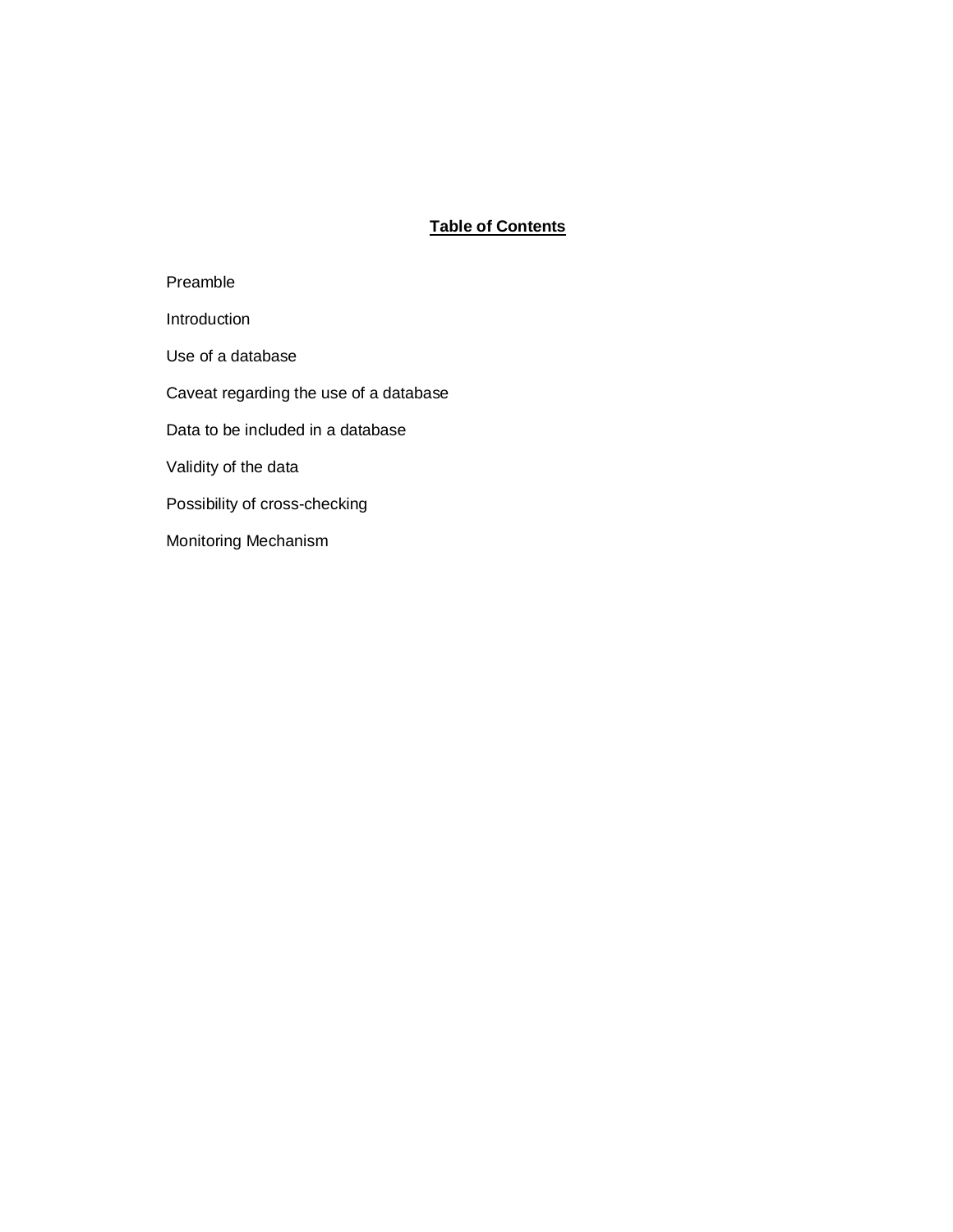# **Table of Contents**

| Preamble                               |
|----------------------------------------|
| Introduction                           |
| Use of a database                      |
| Caveat regarding the use of a database |
| Data to be included in a database      |
| Validity of the data                   |
| Possibility of cross-checking          |
| Monitoring Mechanism                   |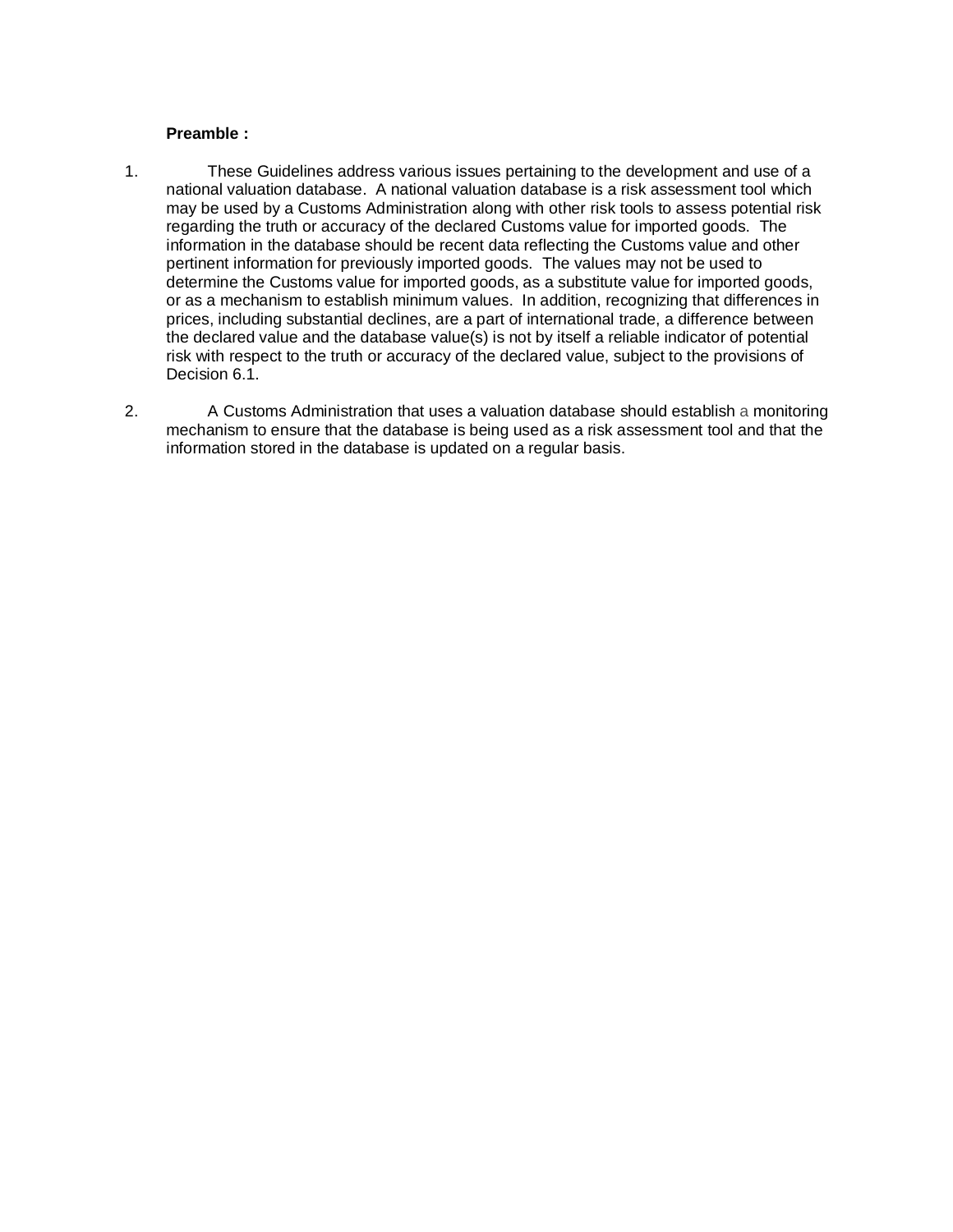#### **Preamble :**

- 1. These Guidelines address various issues pertaining to the development and use of a national valuation database. A national valuation database is a risk assessment tool which may be used by a Customs Administration along with other risk tools to assess potential risk regarding the truth or accuracy of the declared Customs value for imported goods. The information in the database should be recent data reflecting the Customs value and other pertinent information for previously imported goods. The values may not be used to determine the Customs value for imported goods, as a substitute value for imported goods, or as a mechanism to establish minimum values. In addition, recognizing that differences in prices, including substantial declines, are a part of international trade, a difference between the declared value and the database value(s) is not by itself a reliable indicator of potential risk with respect to the truth or accuracy of the declared value, subject to the provisions of Decision 6.1.
- 2. A Customs Administration that uses a valuation database should establish a monitoring mechanism to ensure that the database is being used as a risk assessment tool and that the information stored in the database is updated on a regular basis.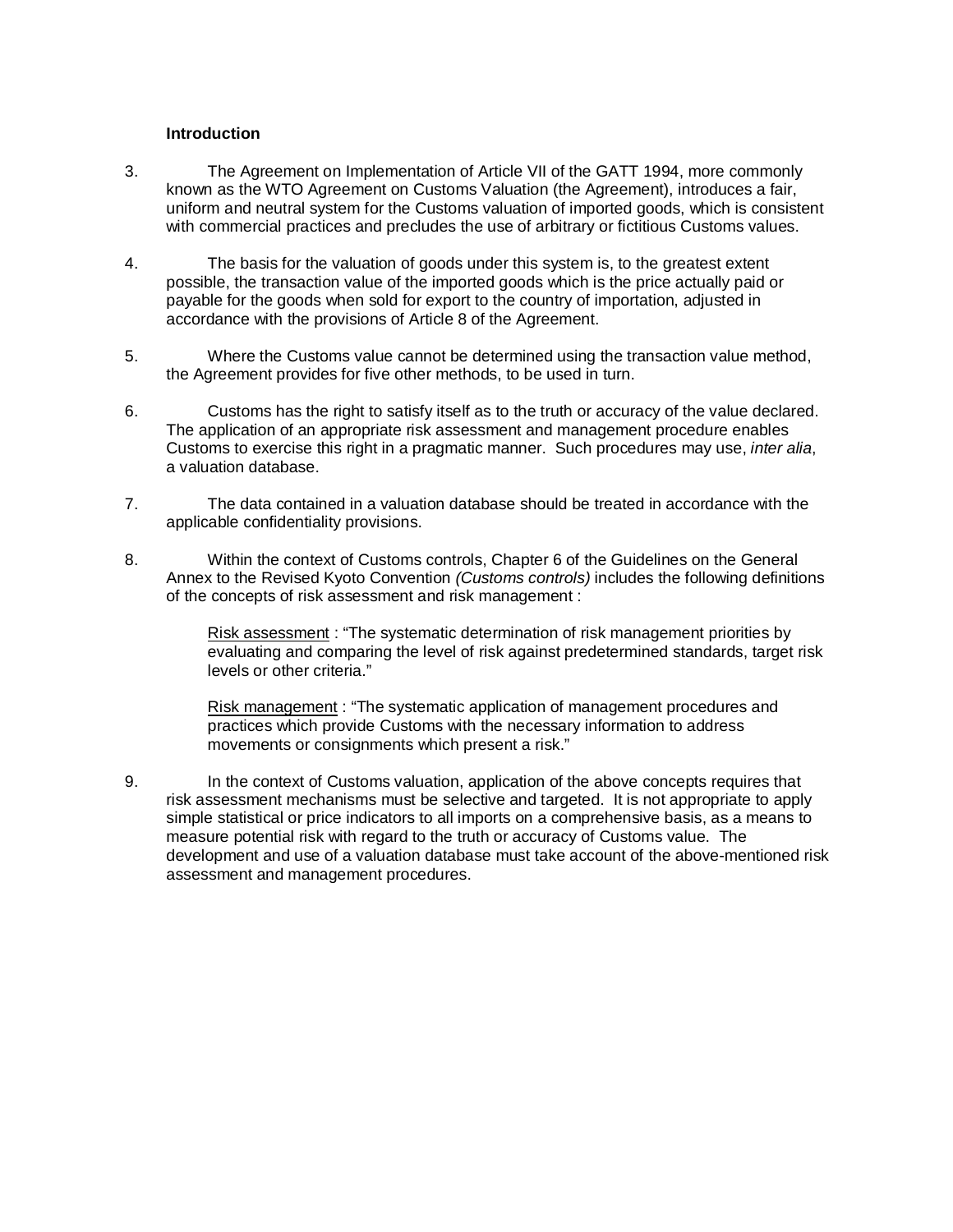#### **Introduction**

- 3. The Agreement on Implementation of Article VII of the GATT 1994, more commonly known as the WTO Agreement on Customs Valuation (the Agreement), introduces a fair, uniform and neutral system for the Customs valuation of imported goods, which is consistent with commercial practices and precludes the use of arbitrary or fictitious Customs values.
- 4. The basis for the valuation of goods under this system is, to the greatest extent possible, the transaction value of the imported goods which is the price actually paid or payable for the goods when sold for export to the country of importation, adjusted in accordance with the provisions of Article 8 of the Agreement.
- 5. Where the Customs value cannot be determined using the transaction value method, the Agreement provides for five other methods, to be used in turn.
- 6. Customs has the right to satisfy itself as to the truth or accuracy of the value declared. The application of an appropriate risk assessment and management procedure enables Customs to exercise this right in a pragmatic manner. Such procedures may use, inter alia, a valuation database.
- 7. The data contained in a valuation database should be treated in accordance with the applicable confidentiality provisions.
- 8. Within the context of Customs controls, Chapter 6 of the Guidelines on the General Annex to the Revised Kyoto Convention (Customs controls) includes the following definitions of the concepts of risk assessment and risk management :

Risk assessment : "The systematic determination of risk management priorities by evaluating and comparing the level of risk against predetermined standards, target risk levels or other criteria."

Risk management : "The systematic application of management procedures and practices which provide Customs with the necessary information to address movements or consignments which present a risk."

9. In the context of Customs valuation, application of the above concepts requires that risk assessment mechanisms must be selective and targeted. It is not appropriate to apply simple statistical or price indicators to all imports on a comprehensive basis, as a means to measure potential risk with regard to the truth or accuracy of Customs value. The development and use of a valuation database must take account of the above-mentioned risk assessment and management procedures.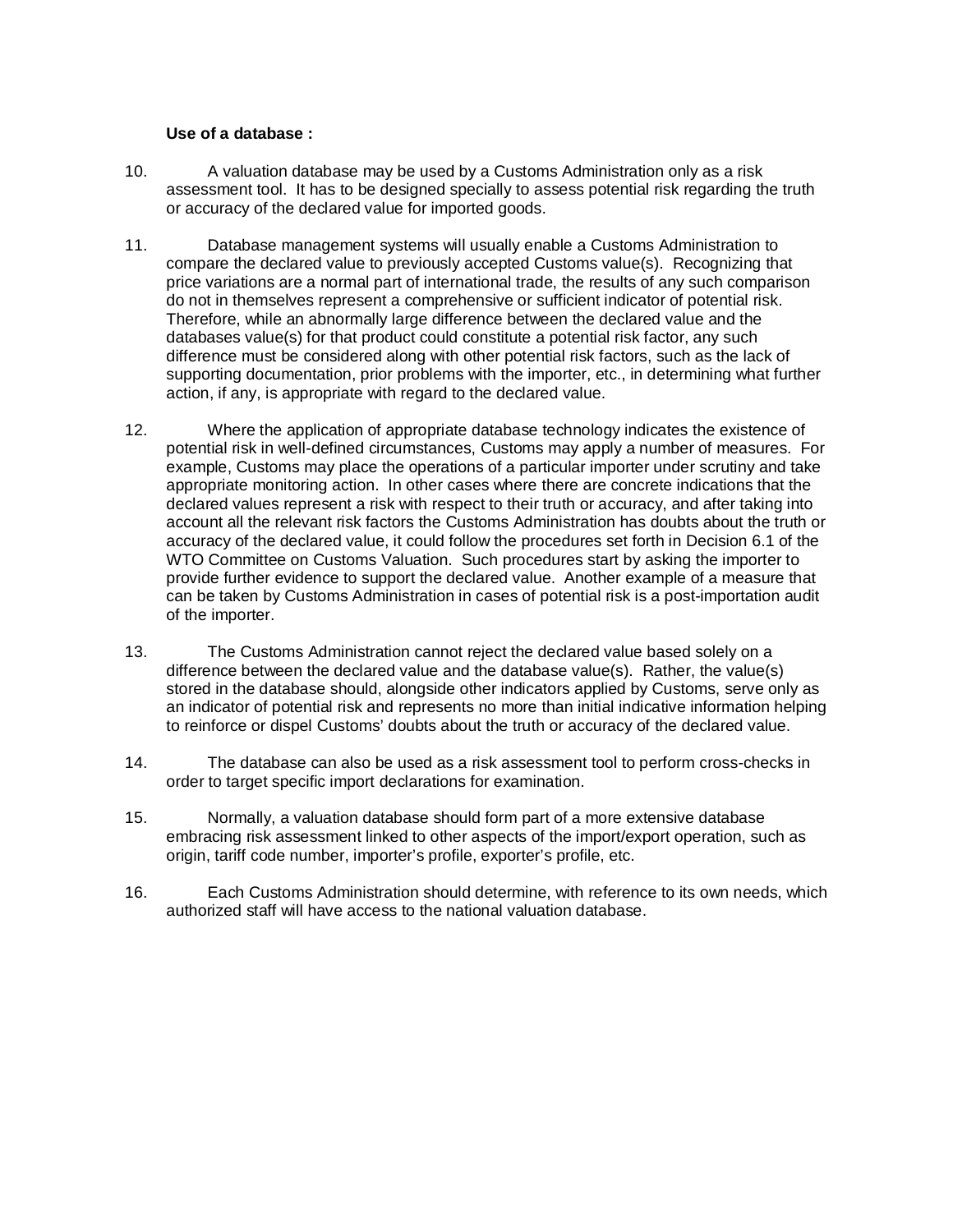#### **Use of a database :**

- 10. A valuation database may be used by a Customs Administration only as a risk assessment tool. It has to be designed specially to assess potential risk regarding the truth or accuracy of the declared value for imported goods.
- 11. Database management systems will usually enable a Customs Administration to compare the declared value to previously accepted Customs value(s). Recognizing that price variations are a normal part of international trade, the results of any such comparison do not in themselves represent a comprehensive or sufficient indicator of potential risk. Therefore, while an abnormally large difference between the declared value and the databases value(s) for that product could constitute a potential risk factor, any such difference must be considered along with other potential risk factors, such as the lack of supporting documentation, prior problems with the importer, etc., in determining what further action, if any, is appropriate with regard to the declared value.
- 12. Where the application of appropriate database technology indicates the existence of potential risk in well-defined circumstances, Customs may apply a number of measures. For example, Customs may place the operations of a particular importer under scrutiny and take appropriate monitoring action. In other cases where there are concrete indications that the declared values represent a risk with respect to their truth or accuracy, and after taking into account all the relevant risk factors the Customs Administration has doubts about the truth or accuracy of the declared value, it could follow the procedures set forth in Decision 6.1 of the WTO Committee on Customs Valuation. Such procedures start by asking the importer to provide further evidence to support the declared value. Another example of a measure that can be taken by Customs Administration in cases of potential risk is a post-importation audit of the importer.
- 13. The Customs Administration cannot reject the declared value based solely on a difference between the declared value and the database value(s). Rather, the value(s) stored in the database should, alongside other indicators applied by Customs, serve only as an indicator of potential risk and represents no more than initial indicative information helping to reinforce or dispel Customs' doubts about the truth or accuracy of the declared value.
- 14. The database can also be used as a risk assessment tool to perform cross-checks in order to target specific import declarations for examination.
- 15. Normally, a valuation database should form part of a more extensive database embracing risk assessment linked to other aspects of the import/export operation, such as origin, tariff code number, importer's profile, exporter's profile, etc.
- 16. Each Customs Administration should determine, with reference to its own needs, which authorized staff will have access to the national valuation database.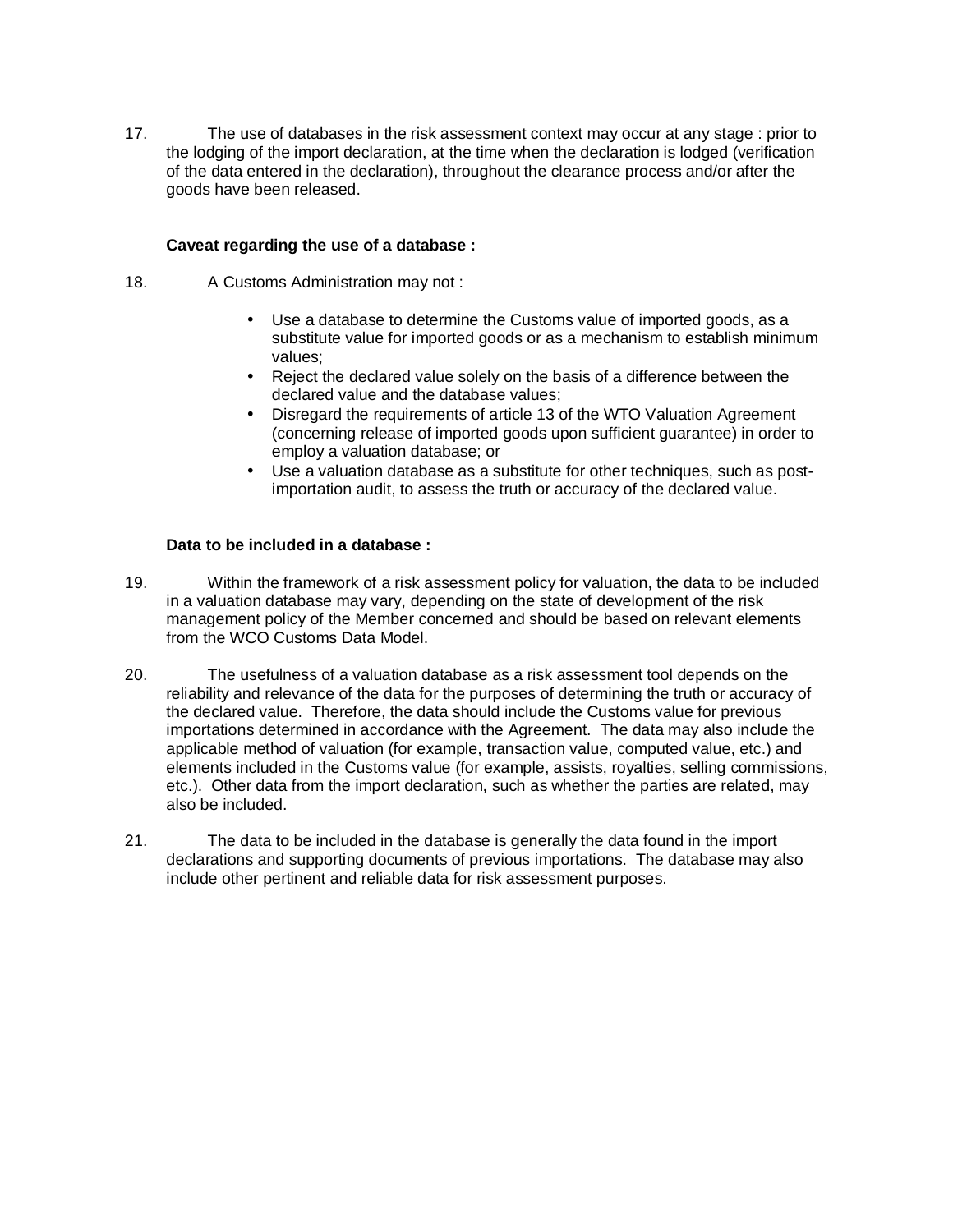17. The use of databases in the risk assessment context may occur at any stage : prior to the lodging of the import declaration, at the time when the declaration is lodged (verification of the data entered in the declaration), throughout the clearance process and/or after the goods have been released.

#### **Caveat regarding the use of a database :**

- 18. A Customs Administration may not:
	- Use a database to determine the Customs value of imported goods, as a substitute value for imported goods or as a mechanism to establish minimum values;
	- Reject the declared value solely on the basis of a difference between the declared value and the database values;
	- Disregard the requirements of article 13 of the WTO Valuation Agreement (concerning release of imported goods upon sufficient guarantee) in order to employ a valuation database; or
	- Use a valuation database as a substitute for other techniques, such as postimportation audit, to assess the truth or accuracy of the declared value.

#### **Data to be included in a database :**

- 19. Within the framework of a risk assessment policy for valuation, the data to be included in a valuation database may vary, depending on the state of development of the risk management policy of the Member concerned and should be based on relevant elements from the WCO Customs Data Model.
- 20. The usefulness of a valuation database as a risk assessment tool depends on the reliability and relevance of the data for the purposes of determining the truth or accuracy of the declared value. Therefore, the data should include the Customs value for previous importations determined in accordance with the Agreement. The data may also include the applicable method of valuation (for example, transaction value, computed value, etc.) and elements included in the Customs value (for example, assists, royalties, selling commissions, etc.). Other data from the import declaration, such as whether the parties are related, may also be included.
- 21. The data to be included in the database is generally the data found in the import declarations and supporting documents of previous importations. The database may also include other pertinent and reliable data for risk assessment purposes.